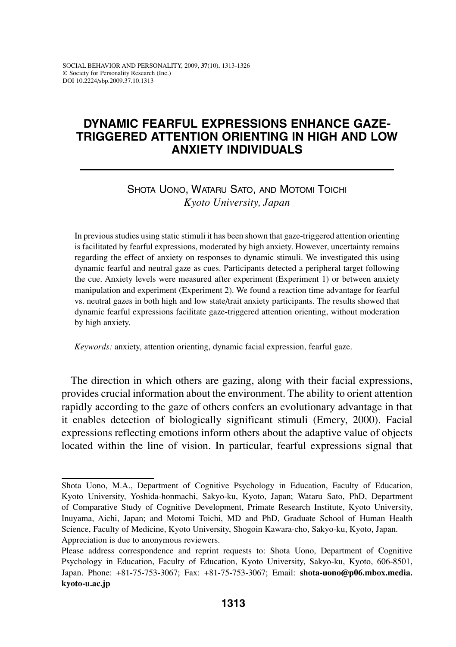# **Dynamic fearful expressions enhance gazetriggered attention orienting in high and low anxiety individuals**

# Shota Uono, Wataru Sato, and Motomi Toichi *Kyoto University, Japan*

In previous studies using static stimuli it has been shown that gaze-triggered attention orienting is facilitated by fearful expressions, moderated by high anxiety. However, uncertainty remains regarding the effect of anxiety on responses to dynamic stimuli. We investigated this using dynamic fearful and neutral gaze as cues. Participants detected a peripheral target following the cue. Anxiety levels were measured after experiment (Experiment 1) or between anxiety manipulation and experiment (Experiment 2). We found a reaction time advantage for fearful vs. neutral gazes in both high and low state/trait anxiety participants. The results showed that dynamic fearful expressions facilitate gaze-triggered attention orienting, without moderation by high anxiety.

*Keywords:* anxiety, attention orienting, dynamic facial expression, fearful gaze.

The direction in which others are gazing, along with their facial expressions, provides crucial information about the environment. The ability to orient attention rapidly according to the gaze of others confers an evolutionary advantage in that it enables detection of biologically significant stimuli (Emery, 2000). Facial expressions reflecting emotions inform others about the adaptive value of objects located within the line of vision. In particular, fearful expressions signal that

Shota Uono, M.A., Department of Cognitive Psychology in Education, Faculty of Education, Kyoto University, Yoshida-honmachi, Sakyo-ku, Kyoto, Japan; Wataru Sato, PhD, Department of Comparative Study of Cognitive Development, Primate Research Institute, Kyoto University, Inuyama, Aichi, Japan; and Motomi Toichi, MD and PhD, Graduate School of Human Health Science, Faculty of Medicine, Kyoto University, Shogoin Kawara-cho, Sakyo-ku, Kyoto, Japan. Appreciation is due to anonymous reviewers.

Please address correspondence and reprint requests to: Shota Uono, Department of Cognitive Psychology in Education, Faculty of Education, Kyoto University, Sakyo-ku, Kyoto, 606-8501, Japan. Phone: +81-75-753-3067; Fax: +81-75-753-3067; Email: **shota-uono@p06.mbox.media. kyoto-u.ac.jp**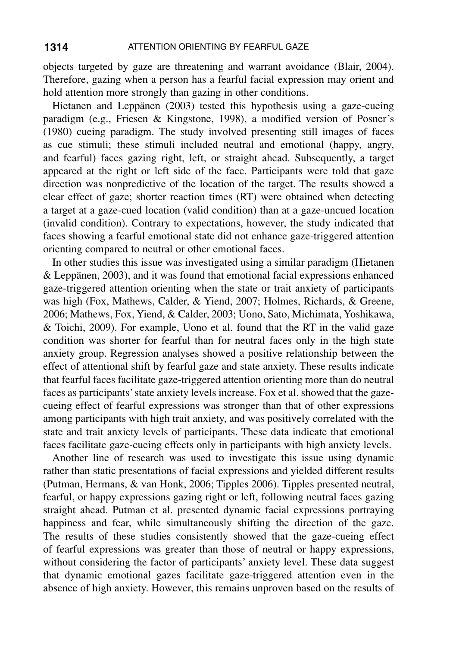objects targeted by gaze are threatening and warrant avoidance (Blair, 2004). Therefore, gazing when a person has a fearful facial expression may orient and hold attention more strongly than gazing in other conditions.

Hietanen and Leppänen (2003) tested this hypothesis using a gaze-cueing paradigm (e.g., Friesen & Kingstone, 1998), a modified version of Posner's (1980) cueing paradigm. The study involved presenting still images of faces as cue stimuli; these stimuli included neutral and emotional (happy, angry, and fearful) faces gazing right, left, or straight ahead. Subsequently, a target appeared at the right or left side of the face. Participants were told that gaze direction was nonpredictive of the location of the target. The results showed a clear effect of gaze; shorter reaction times (RT) were obtained when detecting a target at a gaze-cued location (valid condition) than at a gaze-uncued location (invalid condition). Contrary to expectations, however, the study indicated that faces showing a fearful emotional state did not enhance gaze-triggered attention orienting compared to neutral or other emotional faces.

In other studies this issue was investigated using a similar paradigm (Hietanen & Leppänen, 2003), and it was found that emotional facial expressions enhanced gaze-triggered attention orienting when the state or trait anxiety of participants was high (Fox, Mathews, Calder, & Yiend, 2007; Holmes, Richards, & Greene, 2006; Mathews, Fox, Yiend, & Calder, 2003; Uono, Sato, Michimata, Yoshikawa, & Toichi, 2009). For example, Uono et al. found that the RT in the valid gaze condition was shorter for fearful than for neutral faces only in the high state anxiety group. Regression analyses showed a positive relationship between the effect of attentional shift by fearful gaze and state anxiety. These results indicate that fearful faces facilitate gaze-triggered attention orienting more than do neutral faces as participants' state anxiety levels increase. Fox et al. showed that the gazecueing effect of fearful expressions was stronger than that of other expressions among participants with high trait anxiety, and was positively correlated with the state and trait anxiety levels of participants. These data indicate that emotional faces facilitate gaze-cueing effects only in participants with high anxiety levels.

Another line of research was used to investigate this issue using dynamic rather than static presentations of facial expressions and yielded different results (Putman, Hermans, & van Honk, 2006; Tipples 2006). Tipples presented neutral, fearful, or happy expressions gazing right or left, following neutral faces gazing straight ahead. Putman et al. presented dynamic facial expressions portraying happiness and fear, while simultaneously shifting the direction of the gaze. The results of these studies consistently showed that the gaze-cueing effect of fearful expressions was greater than those of neutral or happy expressions, without considering the factor of participants' anxiety level. These data suggest that dynamic emotional gazes facilitate gaze-triggered attention even in the absence of high anxiety. However, this remains unproven based on the results of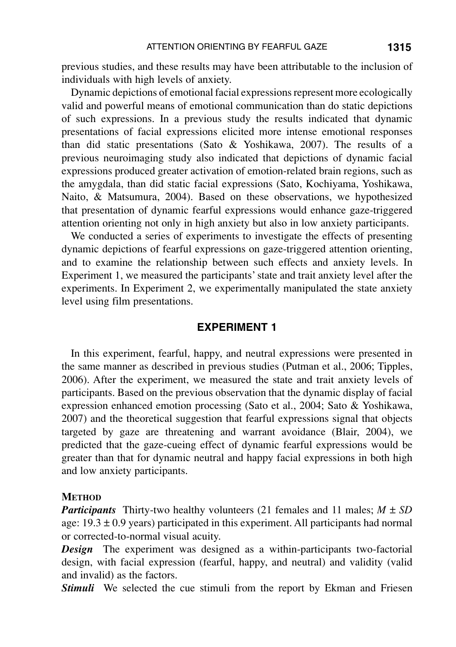previous studies, and these results may have been attributable to the inclusion of individuals with high levels of anxiety.

Dynamic depictions of emotional facial expressions represent more ecologically valid and powerful means of emotional communication than do static depictions of such expressions. In a previous study the results indicated that dynamic presentations of facial expressions elicited more intense emotional responses than did static presentations (Sato & Yoshikawa, 2007). The results of a previous neuroimaging study also indicated that depictions of dynamic facial expressions produced greater activation of emotion-related brain regions, such as the amygdala, than did static facial expressions (Sato, Kochiyama, Yoshikawa, Naito, & Matsumura, 2004). Based on these observations, we hypothesized that presentation of dynamic fearful expressions would enhance gaze-triggered attention orienting not only in high anxiety but also in low anxiety participants.

We conducted a series of experiments to investigate the effects of presenting dynamic depictions of fearful expressions on gaze-triggered attention orienting, and to examine the relationship between such effects and anxiety levels. In Experiment 1, we measured the participants' state and trait anxiety level after the experiments. In Experiment 2, we experimentally manipulated the state anxiety level using film presentations.

## **Experiment 1**

In this experiment, fearful, happy, and neutral expressions were presented in the same manner as described in previous studies (Putman et al., 2006; Tipples, 2006). After the experiment, we measured the state and trait anxiety levels of participants. Based on the previous observation that the dynamic display of facial expression enhanced emotion processing (Sato et al., 2004; Sato & Yoshikawa, 2007) and the theoretical suggestion that fearful expressions signal that objects targeted by gaze are threatening and warrant avoidance (Blair, 2004), we predicted that the gaze-cueing effect of dynamic fearful expressions would be greater than that for dynamic neutral and happy facial expressions in both high and low anxiety participants.

### **METHOD**

*Participants* Thirty-two healthy volunteers (21 females and 11 males;  $M \pm SD$ age:  $19.3 \pm 0.9$  years) participated in this experiment. All participants had normal or corrected-to-normal visual acuity.

*Design* The experiment was designed as a within-participants two-factorial design, with facial expression (fearful, happy, and neutral) and validity (valid and invalid) as the factors.

**Stimuli** We selected the cue stimuli from the report by Ekman and Friesen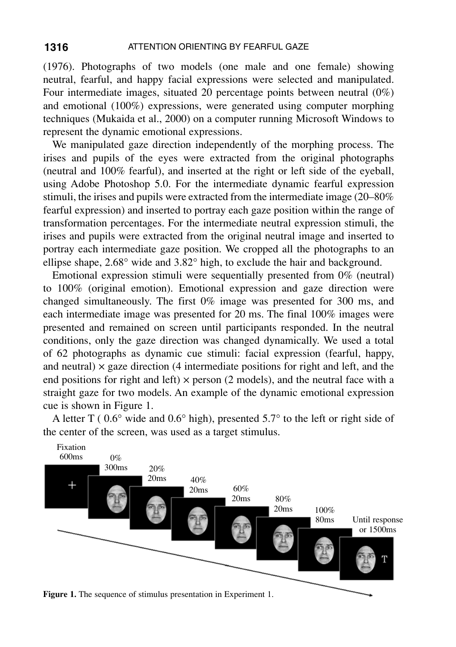(1976). Photographs of two models (one male and one female) showing neutral, fearful, and happy facial expressions were selected and manipulated. Four intermediate images, situated 20 percentage points between neutral (0%) and emotional (100%) expressions, were generated using computer morphing techniques (Mukaida et al., 2000) on a computer running Microsoft Windows to represent the dynamic emotional expressions.

We manipulated gaze direction independently of the morphing process. The irises and pupils of the eyes were extracted from the original photographs (neutral and 100% fearful), and inserted at the right or left side of the eyeball, using Adobe Photoshop 5.0. For the intermediate dynamic fearful expression stimuli, the irises and pupils were extracted from the intermediate image (20–80% fearful expression) and inserted to portray each gaze position within the range of transformation percentages. For the intermediate neutral expression stimuli, the irises and pupils were extracted from the original neutral image and inserted to portray each intermediate gaze position. We cropped all the photographs to an ellipse shape, 2.68° wide and 3.82° high, to exclude the hair and background.

Emotional expression stimuli were sequentially presented from 0% (neutral) to 100% (original emotion). Emotional expression and gaze direction were changed simultaneously. The first 0% image was presented for 300 ms, and each intermediate image was presented for 20 ms. The final 100% images were presented and remained on screen until participants responded. In the neutral conditions, only the gaze direction was changed dynamically. We used a total of 62 photographs as dynamic cue stimuli: facial expression (fearful, happy, and neutral)  $\times$  gaze direction (4 intermediate positions for right and left, and the end positions for right and left)  $\times$  person (2 models), and the neutral face with a straight gaze for two models. An example of the dynamic emotional expression cue is shown in Figure 1.



A letter T ( 0.6° wide and 0.6° high), presented 5.7° to the left or right side of the center of the screen, was used as a target stimulus.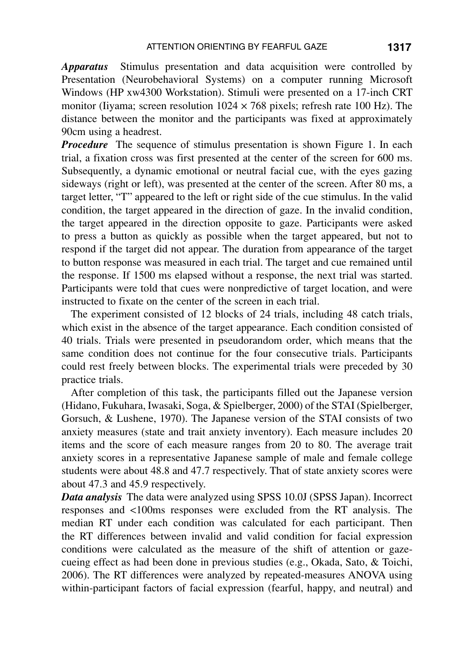*Apparatus* Stimulus presentation and data acquisition were controlled by Presentation (Neurobehavioral Systems) on a computer running Microsoft Windows (HP xw4300 Workstation). Stimuli were presented on a 17-inch CRT monitor (Iiyama; screen resolution  $1024 \times 768$  pixels; refresh rate 100 Hz). The distance between the monitor and the participants was fixed at approximately 90cm using a headrest.

*Procedure* The sequence of stimulus presentation is shown Figure 1. In each trial, a fixation cross was first presented at the center of the screen for 600 ms. Subsequently, a dynamic emotional or neutral facial cue, with the eyes gazing sideways (right or left), was presented at the center of the screen. After 80 ms, a target letter, "T" appeared to the left or right side of the cue stimulus. In the valid condition, the target appeared in the direction of gaze. In the invalid condition, the target appeared in the direction opposite to gaze. Participants were asked to press a button as quickly as possible when the target appeared, but not to respond if the target did not appear. The duration from appearance of the target to button response was measured in each trial. The target and cue remained until the response. If 1500 ms elapsed without a response, the next trial was started. Participants were told that cues were nonpredictive of target location, and were instructed to fixate on the center of the screen in each trial.

The experiment consisted of 12 blocks of 24 trials, including 48 catch trials, which exist in the absence of the target appearance. Each condition consisted of 40 trials. Trials were presented in pseudorandom order, which means that the same condition does not continue for the four consecutive trials. Participants could rest freely between blocks. The experimental trials were preceded by 30 practice trials.

After completion of this task, the participants filled out the Japanese version (Hidano, Fukuhara, Iwasaki, Soga, & Spielberger, 2000) of the STAI (Spielberger, Gorsuch, & Lushene, 1970). The Japanese version of the STAI consists of two anxiety measures (state and trait anxiety inventory). Each measure includes 20 items and the score of each measure ranges from 20 to 80. The average trait anxiety scores in a representative Japanese sample of male and female college students were about 48.8 and 47.7 respectively. That of state anxiety scores were about 47.3 and 45.9 respectively.

*Data analysis* The data were analyzed using SPSS 10.0J (SPSS Japan). Incorrect responses and <100ms responses were excluded from the RT analysis. The median RT under each condition was calculated for each participant. Then the RT differences between invalid and valid condition for facial expression conditions were calculated as the measure of the shift of attention or gazecueing effect as had been done in previous studies (e.g., Okada, Sato, & Toichi, 2006). The RT differences were analyzed by repeated-measures ANOVA using within-participant factors of facial expression (fearful, happy, and neutral) and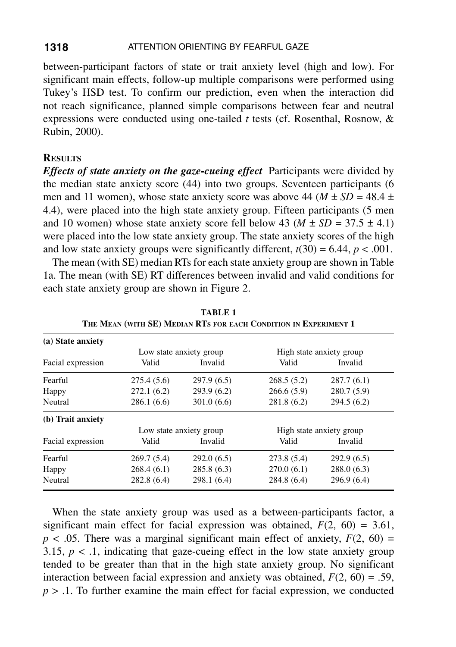between-participant factors of state or trait anxiety level (high and low). For significant main effects, follow-up multiple comparisons were performed using Tukey's HSD test. To confirm our prediction, even when the interaction did not reach significance, planned simple comparisons between fear and neutral expressions were conducted using one-tailed *t* tests (cf. Rosenthal, Rosnow, & Rubin, 2000).

### **Results**

*Effects of state anxiety on the gaze-cueing effect* Participants were divided by the median state anxiety score (44) into two groups. Seventeen participants (6 men and 11 women), whose state anxiety score was above 44 ( $M \pm SD = 48.4 \pm$ 4.4), were placed into the high state anxiety group. Fifteen participants (5 men and 10 women) whose state anxiety score fell below 43 ( $M \pm SD = 37.5 \pm 4.1$ ) were placed into the low state anxiety group. The state anxiety scores of the high and low state anxiety groups were significantly different,  $t(30) = 6.44$ ,  $p < .001$ .

The mean (with SE) median RTs for each state anxiety group are shown in Table 1a. The mean (with SE) RT differences between invalid and valid conditions for each state anxiety group are shown in Figure 2.

| (a) State anxiety |                         |             |                          |            |
|-------------------|-------------------------|-------------|--------------------------|------------|
|                   | Low state anxiety group |             | High state anxiety group |            |
| Facial expression | Valid                   | Invalid     | Valid                    | Invalid    |
| Fearful           | 275.4(5.6)              | 297.9(6.5)  | 268.5(5.2)               | 287.7(6.1) |
| Happy             | 272.1(6.2)              | 293.9(6.2)  | 266.6(5.9)               | 280.7(5.9) |
| Neutral           | 286.1(6.6)              | 301.0(6.6)  | 281.8(6.2)               | 294.5(6.2) |
| (b) Trait anxiety |                         |             |                          |            |
|                   | Low state anxiety group |             | High state anxiety group |            |
| Facial expression | Valid                   | Invalid     | Valid                    | Invalid    |
| Fearful           | 269.7(5.4)              | 292.0(6.5)  | 273.8(5.4)               | 292.9(6.5) |
| Happy             | 268.4(6.1)              | 285.8(6.3)  | 270.0(6.1)               | 288.0(6.3) |
| Neutral           | 282.8(6.4)              | 298.1 (6.4) | 284.8 (6.4)              | 296.9(6.4) |

**Table 1 The Mean (with SE) Median RTs for each Condition in Experiment 1**

When the state anxiety group was used as a between-participants factor, a significant main effect for facial expression was obtained,  $F(2, 60) = 3.61$ ,  $p < .05$ . There was a marginal significant main effect of anxiety,  $F(2, 60) =$ 3.15,  $p < 0.1$ , indicating that gaze-cueing effect in the low state anxiety group tended to be greater than that in the high state anxiety group. No significant interaction between facial expression and anxiety was obtained,  $F(2, 60) = .59$ ,  $p > 0.1$ . To further examine the main effect for facial expression, we conducted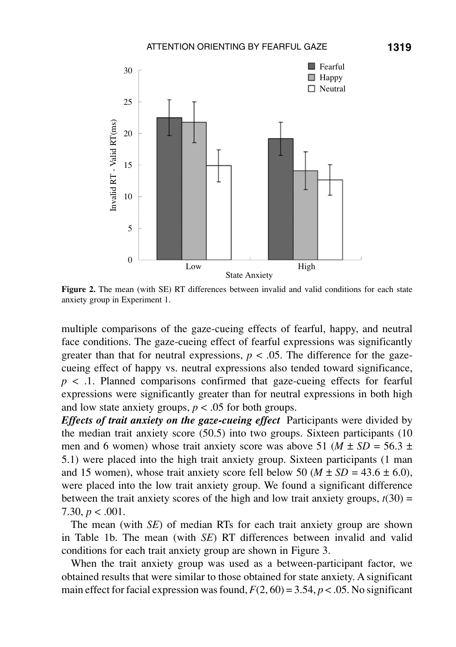

**Figure 2.** The mean (with SE) RT differences between invalid and valid conditions for each state anxiety group in Experiment 1.

multiple comparisons of the gaze-cueing effects of fearful, happy, and neutral face conditions. The gaze-cueing effect of fearful expressions was significantly greater than that for neutral expressions,  $p < .05$ . The difference for the gazecueing effect of happy vs. neutral expressions also tended toward significance,  $p \lt 1$ . Planned comparisons confirmed that gaze-cueing effects for fearful expressions were significantly greater than for neutral expressions in both high and low state anxiety groups,  $p < .05$  for both groups.

*Effects of trait anxiety on the gaze-cueing effect* Participants were divided by the median trait anxiety score (50.5) into two groups. Sixteen participants (10 men and 6 women) whose trait anxiety score was above 51 ( $M \pm SD = 56.3 \pm$ 5.1) were placed into the high trait anxiety group. Sixteen participants (1 man and 15 women), whose trait anxiety score fell below 50 ( $M \pm SD = 43.6 \pm 6.0$ ), were placed into the low trait anxiety group. We found a significant difference between the trait anxiety scores of the high and low trait anxiety groups,  $t(30)$  = 7.30,  $p < .001$ .

The mean (with *SE*) of median RTs for each trait anxiety group are shown in Table 1b. The mean (with *SE*) RT differences between invalid and valid conditions for each trait anxiety group are shown in Figure 3.

When the trait anxiety group was used as a between-participant factor, we obtained results that were similar to those obtained for state anxiety. A significant main effect for facial expression was found,  $F(2, 60) = 3.54$ ,  $p < .05$ . No significant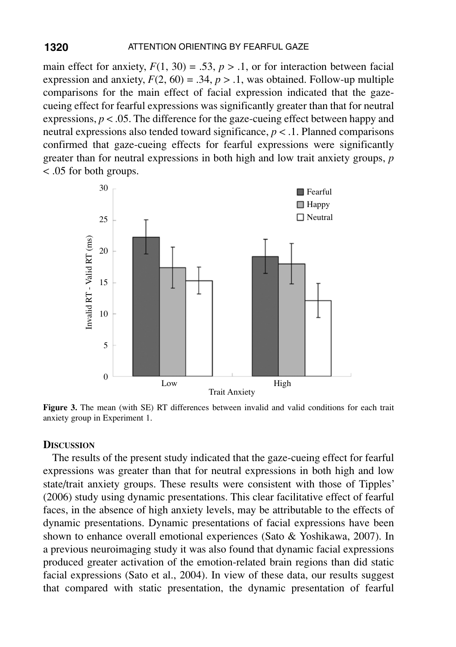main effect for anxiety,  $F(1, 30) = .53$ ,  $p > .1$ , or for interaction between facial expression and anxiety,  $F(2, 60) = .34$ ,  $p > .1$ , was obtained. Follow-up multiple comparisons for the main effect of facial expression indicated that the gazecueing effect for fearful expressions was significantly greater than that for neutral expressions,  $p < 0.05$ . The difference for the gaze-cueing effect between happy and neutral expressions also tended toward significance,  $p < 0.1$ . Planned comparisons confirmed that gaze-cueing effects for fearful expressions were significantly greater than for neutral expressions in both high and low trait anxiety groups, *p* < .05 for both groups.



**Figure 3.** The mean (with SE) RT differences between invalid and valid conditions for each trait anxiety group in Experiment 1.

### **Discussion**

The results of the present study indicated that the gaze-cueing effect for fearful expressions was greater than that for neutral expressions in both high and low state/trait anxiety groups. These results were consistent with those of Tipples' (2006) study using dynamic presentations. This clear facilitative effect of fearful faces, in the absence of high anxiety levels, may be attributable to the effects of dynamic presentations. Dynamic presentations of facial expressions have been shown to enhance overall emotional experiences (Sato & Yoshikawa, 2007). In a previous neuroimaging study it was also found that dynamic facial expressions produced greater activation of the emotion-related brain regions than did static facial expressions (Sato et al., 2004). In view of these data, our results suggest that compared with static presentation, the dynamic presentation of fearful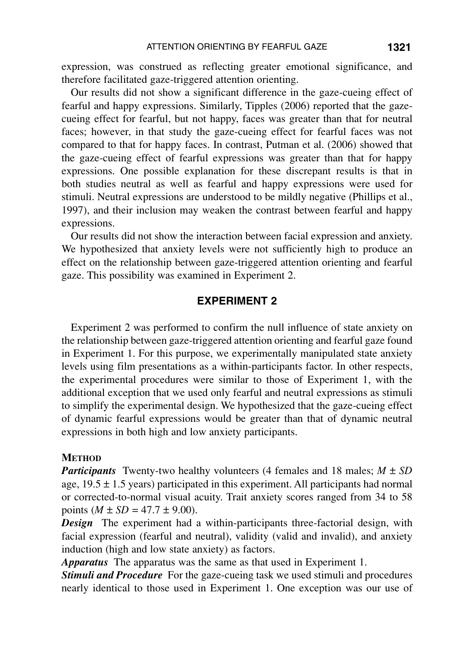expression, was construed as reflecting greater emotional significance, and therefore facilitated gaze-triggered attention orienting.

Our results did not show a significant difference in the gaze-cueing effect of fearful and happy expressions. Similarly, Tipples (2006) reported that the gazecueing effect for fearful, but not happy, faces was greater than that for neutral faces; however, in that study the gaze-cueing effect for fearful faces was not compared to that for happy faces. In contrast, Putman et al. (2006) showed that the gaze-cueing effect of fearful expressions was greater than that for happy expressions. One possible explanation for these discrepant results is that in both studies neutral as well as fearful and happy expressions were used for stimuli. Neutral expressions are understood to be mildly negative (Phillips et al., 1997), and their inclusion may weaken the contrast between fearful and happy expressions.

Our results did not show the interaction between facial expression and anxiety. We hypothesized that anxiety levels were not sufficiently high to produce an effect on the relationship between gaze-triggered attention orienting and fearful gaze. This possibility was examined in Experiment 2.

## **Experiment 2**

Experiment 2 was performed to confirm the null influence of state anxiety on the relationship between gaze-triggered attention orienting and fearful gaze found in Experiment 1. For this purpose, we experimentally manipulated state anxiety levels using film presentations as a within-participants factor. In other respects, the experimental procedures were similar to those of Experiment 1, with the additional exception that we used only fearful and neutral expressions as stimuli to simplify the experimental design. We hypothesized that the gaze-cueing effect of dynamic fearful expressions would be greater than that of dynamic neutral expressions in both high and low anxiety participants.

### **METHOD**

*Participants* Twenty-two healthy volunteers (4 females and 18 males;  $M \pm SD$ age,  $19.5 \pm 1.5$  years) participated in this experiment. All participants had normal or corrected-to-normal visual acuity. Trait anxiety scores ranged from 34 to 58 points  $(M \pm SD = 47.7 \pm 9.00)$ .

*Design* The experiment had a within-participants three-factorial design, with facial expression (fearful and neutral), validity (valid and invalid), and anxiety induction (high and low state anxiety) as factors.

*Apparatus* The apparatus was the same as that used in Experiment 1.

*Stimuli and Procedure* For the gaze-cueing task we used stimuli and procedures nearly identical to those used in Experiment 1. One exception was our use of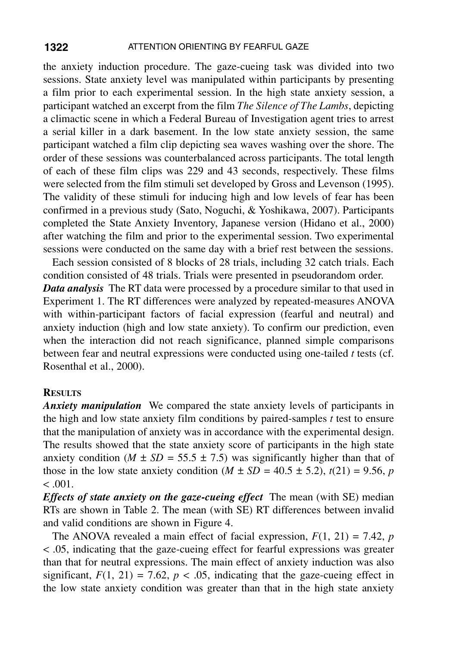the anxiety induction procedure. The gaze-cueing task was divided into two sessions. State anxiety level was manipulated within participants by presenting a film prior to each experimental session. In the high state anxiety session, a participant watched an excerpt from the film *The Silence of The Lambs*, depicting a climactic scene in which a Federal Bureau of Investigation agent tries to arrest a serial killer in a dark basement. In the low state anxiety session, the same participant watched a film clip depicting sea waves washing over the shore. The order of these sessions was counterbalanced across participants. The total length of each of these film clips was 229 and 43 seconds, respectively. These films were selected from the film stimuli set developed by Gross and Levenson (1995). The validity of these stimuli for inducing high and low levels of fear has been confirmed in a previous study (Sato, Noguchi, & Yoshikawa, 2007). Participants completed the State Anxiety Inventory, Japanese version (Hidano et al., 2000) after watching the film and prior to the experimental session. Two experimental sessions were conducted on the same day with a brief rest between the sessions.

Each session consisted of 8 blocks of 28 trials, including 32 catch trials. Each condition consisted of 48 trials. Trials were presented in pseudorandom order. *Data analysis* The RT data were processed by a procedure similar to that used in Experiment 1. The RT differences were analyzed by repeated-measures ANOVA with within-participant factors of facial expression (fearful and neutral) and anxiety induction (high and low state anxiety). To confirm our prediction, even when the interaction did not reach significance, planned simple comparisons between fear and neutral expressions were conducted using one-tailed *t* tests (cf. Rosenthal et al., 2000).

#### **Results**

*Anxiety manipulation* We compared the state anxiety levels of participants in the high and low state anxiety film conditions by paired-samples *t* test to ensure that the manipulation of anxiety was in accordance with the experimental design. The results showed that the state anxiety score of participants in the high state anxiety condition ( $M \pm SD = 55.5 \pm 7.5$ ) was significantly higher than that of those in the low state anxiety condition  $(M \pm SD = 40.5 \pm 5.2)$ ,  $t(21) = 9.56$ , *p*  $< 0.001$ .

*Effects of state anxiety on the gaze-cueing effect* The mean (with SE) median RTs are shown in Table 2. The mean (with SE) RT differences between invalid and valid conditions are shown in Figure 4.

The ANOVA revealed a main effect of facial expression,  $F(1, 21) = 7.42$ , *p* < .05, indicating that the gaze-cueing effect for fearful expressions was greater than that for neutral expressions. The main effect of anxiety induction was also significant,  $F(1, 21) = 7.62$ ,  $p < .05$ , indicating that the gaze-cueing effect in the low state anxiety condition was greater than that in the high state anxiety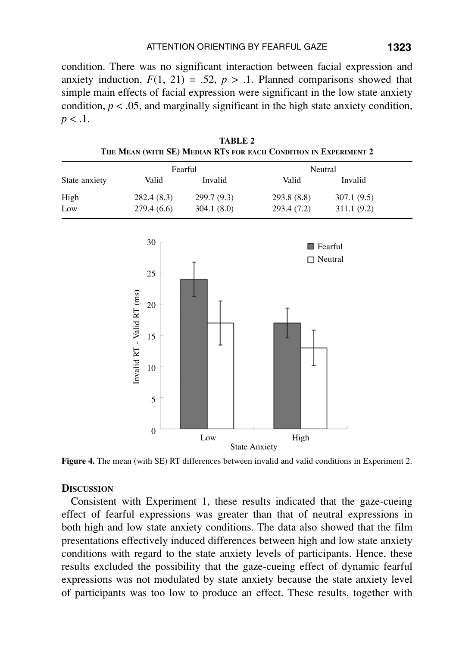condition. There was no significant interaction between facial expression and anxiety induction,  $F(1, 21) = .52$ ,  $p > .1$ . Planned comparisons showed that simple main effects of facial expression were significant in the low state anxiety condition,  $p < .05$ , and marginally significant in the high state anxiety condition,  $p < .1$ .

| Fearful                                                          |             | Neutral     |             |                           |
|------------------------------------------------------------------|-------------|-------------|-------------|---------------------------|
| Valid                                                            | Invalid     | Valid       | Invalid     |                           |
| 282.4(8.3)                                                       | 299.7 (9.3) | 293.8 (8.8) | 307.1(9.5)  |                           |
| 279.4 (6.6)                                                      | 304.1 (8.0) | 293.4 (7.2) | 311.1 (9.2) |                           |
| 30<br>25<br>Invalid RT - Valid RT (ms)<br>$20\,$<br>15<br>$10\,$ |             | $\Box$      |             |                           |
|                                                                  |             |             |             |                           |
|                                                                  | 5           |             |             | Fearful<br>$\Box$ Neutral |

**Table 2 The Mean (with SE) Median RTs for each Condition in Experiment 2**

**Figure 4.** The mean (with SE) RT differences between invalid and valid conditions in Experiment 2.

Low High State Anxiety

## **Discussion**

 $\mathbf{0}$ 

Consistent with Experiment 1, these results indicated that the gaze-cueing effect of fearful expressions was greater than that of neutral expressions in both high and low state anxiety conditions. The data also showed that the film presentations effectively induced differences between high and low state anxiety conditions with regard to the state anxiety levels of participants. Hence, these results excluded the possibility that the gaze-cueing effect of dynamic fearful expressions was not modulated by state anxiety because the state anxiety level of participants was too low to produce an effect. These results, together with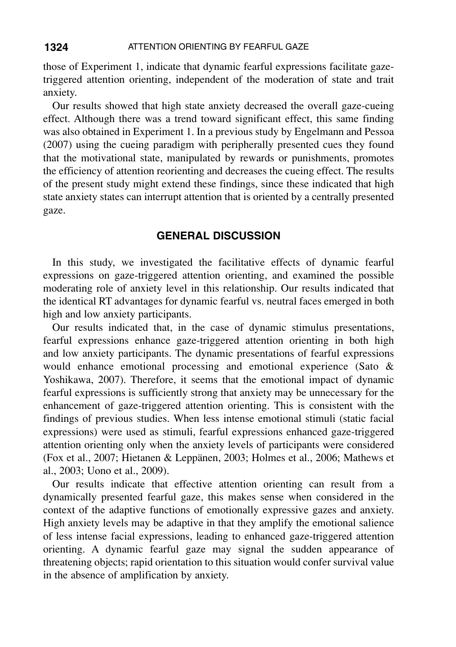those of Experiment 1, indicate that dynamic fearful expressions facilitate gazetriggered attention orienting, independent of the moderation of state and trait anxiety.

Our results showed that high state anxiety decreased the overall gaze-cueing effect. Although there was a trend toward significant effect, this same finding was also obtained in Experiment 1. In a previous study by Engelmann and Pessoa (2007) using the cueing paradigm with peripherally presented cues they found that the motivational state, manipulated by rewards or punishments, promotes the efficiency of attention reorienting and decreases the cueing effect. The results of the present study might extend these findings, since these indicated that high state anxiety states can interrupt attention that is oriented by a centrally presented gaze.

### **General Discussion**

In this study, we investigated the facilitative effects of dynamic fearful expressions on gaze-triggered attention orienting, and examined the possible moderating role of anxiety level in this relationship. Our results indicated that the identical RT advantages for dynamic fearful vs. neutral faces emerged in both high and low anxiety participants.

Our results indicated that, in the case of dynamic stimulus presentations, fearful expressions enhance gaze-triggered attention orienting in both high and low anxiety participants. The dynamic presentations of fearful expressions would enhance emotional processing and emotional experience (Sato & Yoshikawa, 2007). Therefore, it seems that the emotional impact of dynamic fearful expressions is sufficiently strong that anxiety may be unnecessary for the enhancement of gaze-triggered attention orienting. This is consistent with the findings of previous studies. When less intense emotional stimuli (static facial expressions) were used as stimuli, fearful expressions enhanced gaze-triggered attention orienting only when the anxiety levels of participants were considered (Fox et al., 2007; Hietanen & Leppänen, 2003; Holmes et al., 2006; Mathews et al., 2003; Uono et al., 2009).

Our results indicate that effective attention orienting can result from a dynamically presented fearful gaze, this makes sense when considered in the context of the adaptive functions of emotionally expressive gazes and anxiety. High anxiety levels may be adaptive in that they amplify the emotional salience of less intense facial expressions, leading to enhanced gaze-triggered attention orienting. A dynamic fearful gaze may signal the sudden appearance of threatening objects; rapid orientation to this situation would confer survival value in the absence of amplification by anxiety.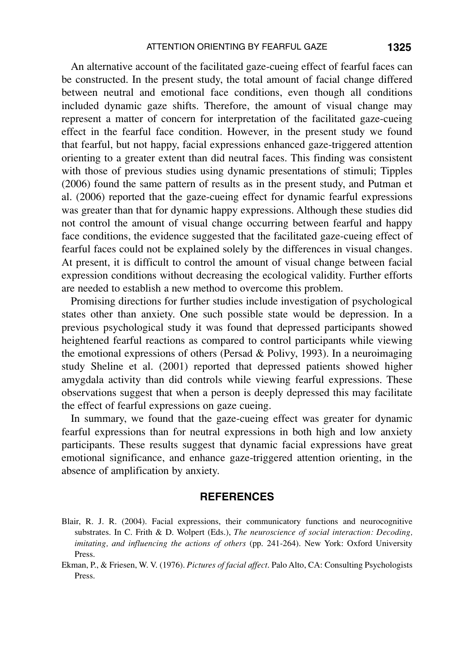An alternative account of the facilitated gaze-cueing effect of fearful faces can be constructed. In the present study, the total amount of facial change differed between neutral and emotional face conditions, even though all conditions included dynamic gaze shifts. Therefore, the amount of visual change may represent a matter of concern for interpretation of the facilitated gaze-cueing effect in the fearful face condition. However, in the present study we found that fearful, but not happy, facial expressions enhanced gaze-triggered attention orienting to a greater extent than did neutral faces. This finding was consistent with those of previous studies using dynamic presentations of stimuli; Tipples (2006) found the same pattern of results as in the present study, and Putman et al. (2006) reported that the gaze-cueing effect for dynamic fearful expressions was greater than that for dynamic happy expressions. Although these studies did not control the amount of visual change occurring between fearful and happy face conditions, the evidence suggested that the facilitated gaze-cueing effect of fearful faces could not be explained solely by the differences in visual changes. At present, it is difficult to control the amount of visual change between facial expression conditions without decreasing the ecological validity. Further efforts are needed to establish a new method to overcome this problem.

Promising directions for further studies include investigation of psychological states other than anxiety. One such possible state would be depression. In a previous psychological study it was found that depressed participants showed heightened fearful reactions as compared to control participants while viewing the emotional expressions of others (Persad & Polivy, 1993). In a neuroimaging study Sheline et al. (2001) reported that depressed patients showed higher amygdala activity than did controls while viewing fearful expressions. These observations suggest that when a person is deeply depressed this may facilitate the effect of fearful expressions on gaze cueing.

In summary, we found that the gaze-cueing effect was greater for dynamic fearful expressions than for neutral expressions in both high and low anxiety participants. These results suggest that dynamic facial expressions have great emotional significance, and enhance gaze-triggered attention orienting, in the absence of amplification by anxiety.

### **References**

- Blair, R. J. R. (2004). Facial expressions, their communicatory functions and neurocognitive substrates. In C. Frith & D. Wolpert (Eds.), *The neuroscience of social interaction: Decoding, imitating, and influencing the actions of others* (pp. 241-264). New York: Oxford University Press.
- Ekman, P., & Friesen, W. V. (1976). *Pictures of facial affect*. Palo Alto, CA: Consulting Psychologists Press.